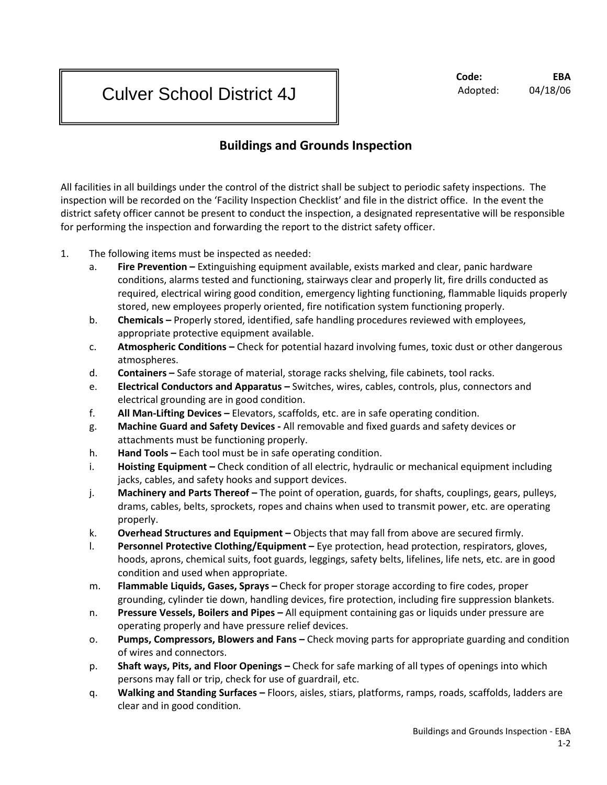# Culver School District 4J

## **Code: EBA** Adopted: 04/18/06

# **Buildings and Grounds Inspection**

All facilities in all buildings under the control of the district shall be subject to periodic safety inspections. The inspection will be recorded on the 'Facility Inspection Checklist' and file in the district office. In the event the district safety officer cannot be present to conduct the inspection, a designated representative will be responsible for performing the inspection and forwarding the report to the district safety officer.

- 1. The following items must be inspected as needed:
	- a. **Fire Prevention –** Extinguishing equipment available, exists marked and clear, panic hardware conditions, alarms tested and functioning, stairways clear and properly lit, fire drills conducted as required, electrical wiring good condition, emergency lighting functioning, flammable liquids properly stored, new employees properly oriented, fire notification system functioning properly.
	- b. **Chemicals –** Properly stored, identified, safe handling procedures reviewed with employees, appropriate protective equipment available.
	- c. **Atmospheric Conditions –** Check for potential hazard involving fumes, toxic dust or other dangerous atmospheres.
	- d. **Containers –** Safe storage of material, storage racks shelving, file cabinets, tool racks.
	- e. **Electrical Conductors and Apparatus –** Switches, wires, cables, controls, plus, connectors and electrical grounding are in good condition.
	- f. **All Man-Lifting Devices –** Elevators, scaffolds, etc. are in safe operating condition.
	- g. **Machine Guard and Safety Devices -** All removable and fixed guards and safety devices or attachments must be functioning properly.
	- h. **Hand Tools –** Each tool must be in safe operating condition.
	- i. **Hoisting Equipment –** Check condition of all electric, hydraulic or mechanical equipment including jacks, cables, and safety hooks and support devices.
	- j. **Machinery and Parts Thereof –** The point of operation, guards, for shafts, couplings, gears, pulleys, drams, cables, belts, sprockets, ropes and chains when used to transmit power, etc. are operating properly.
	- k. **Overhead Structures and Equipment –** Objects that may fall from above are secured firmly.
	- l. **Personnel Protective Clothing/Equipment –** Eye protection, head protection, respirators, gloves, hoods, aprons, chemical suits, foot guards, leggings, safety belts, lifelines, life nets, etc. are in good condition and used when appropriate.
	- m. **Flammable Liquids, Gases, Sprays –** Check for proper storage according to fire codes, proper grounding, cylinder tie down, handling devices, fire protection, including fire suppression blankets.
	- n. **Pressure Vessels, Boilers and Pipes –** All equipment containing gas or liquids under pressure are operating properly and have pressure relief devices.
	- o. **Pumps, Compressors, Blowers and Fans –** Check moving parts for appropriate guarding and condition of wires and connectors.
	- p. **Shaft ways, Pits, and Floor Openings –** Check for safe marking of all types of openings into which persons may fall or trip, check for use of guardrail, etc.
	- q. **Walking and Standing Surfaces –** Floors, aisles, stiars, platforms, ramps, roads, scaffolds, ladders are clear and in good condition.